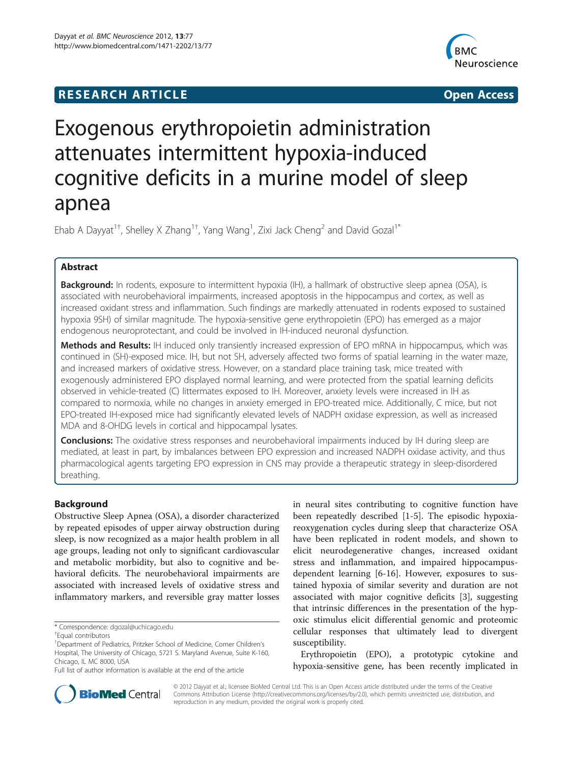## **RESEARCH ARTICLE Example 2014 The SEAR CH ACCESS**



# Exogenous erythropoietin administration attenuates intermittent hypoxia-induced cognitive deficits in a murine model of sleep apnea

Ehab A Dayyat<sup>1†</sup>, Shelley X Zhang<sup>1†</sup>, Yang Wang<sup>1</sup>, Zixi Jack Cheng<sup>2</sup> and David Gozal<sup>1\*</sup>

## Abstract

Background: In rodents, exposure to intermittent hypoxia (IH), a hallmark of obstructive sleep apnea (OSA), is associated with neurobehavioral impairments, increased apoptosis in the hippocampus and cortex, as well as increased oxidant stress and inflammation. Such findings are markedly attenuated in rodents exposed to sustained hypoxia 9SH) of similar magnitude. The hypoxia-sensitive gene erythropoietin (EPO) has emerged as a major endogenous neuroprotectant, and could be involved in IH-induced neuronal dysfunction.

Methods and Results: IH induced only transiently increased expression of EPO mRNA in hippocampus, which was continued in (SH)-exposed mice. IH, but not SH, adversely affected two forms of spatial learning in the water maze, and increased markers of oxidative stress. However, on a standard place training task, mice treated with exogenously administered EPO displayed normal learning, and were protected from the spatial learning deficits observed in vehicle-treated (C) littermates exposed to IH. Moreover, anxiety levels were increased in IH as compared to normoxia, while no changes in anxiety emerged in EPO-treated mice. Additionally, C mice, but not EPO-treated IH-exposed mice had significantly elevated levels of NADPH oxidase expression, as well as increased MDA and 8-OHDG levels in cortical and hippocampal lysates.

**Conclusions:** The oxidative stress responses and neurobehavioral impairments induced by IH during sleep are mediated, at least in part, by imbalances between EPO expression and increased NADPH oxidase activity, and thus pharmacological agents targeting EPO expression in CNS may provide a therapeutic strategy in sleep-disordered breathing.

## Background

Obstructive Sleep Apnea (OSA), a disorder characterized by repeated episodes of upper airway obstruction during sleep, is now recognized as a major health problem in all age groups, leading not only to significant cardiovascular and metabolic morbidity, but also to cognitive and behavioral deficits. The neurobehavioral impairments are associated with increased levels of oxidative stress and inflammatory markers, and reversible gray matter losses

in neural sites contributing to cognitive function have been repeatedly described [\[1](#page-10-0)-[5\]](#page-10-0). The episodic hypoxiareoxygenation cycles during sleep that characterize OSA have been replicated in rodent models, and shown to elicit neurodegenerative changes, increased oxidant stress and inflammation, and impaired hippocampusdependent learning [\[6](#page-10-0)-[16](#page-10-0)]. However, exposures to sustained hypoxia of similar severity and duration are not associated with major cognitive deficits [[3\]](#page-10-0), suggesting that intrinsic differences in the presentation of the hypoxic stimulus elicit differential genomic and proteomic cellular responses that ultimately lead to divergent susceptibility.

Erythropoietin (EPO), a prototypic cytokine and hypoxia-sensitive gene, has been recently implicated in



© 2012 Dayyat et al.; licensee BioMed Central Ltd. This is an Open Access article distributed under the terms of the Creative Commons Attribution License [\(http://creativecommons.org/licenses/by/2.0\)](http://creativecommons.org/licenses/by/2.0), which permits unrestricted use, distribution, and reproduction in any medium, provided the original work is properly cited.

<sup>\*</sup> Correspondence: [dgozal@uchicago.edu](mailto:dgozal@uchicago.edu) †

Equal contributors

<sup>&</sup>lt;sup>1</sup>Department of Pediatrics, Pritzker School of Medicine, Comer Children's Hospital, The University of Chicago, 5721 S. Maryland Avenue, Suite K-160, Chicago, IL MC 8000, USA

Full list of author information is available at the end of the article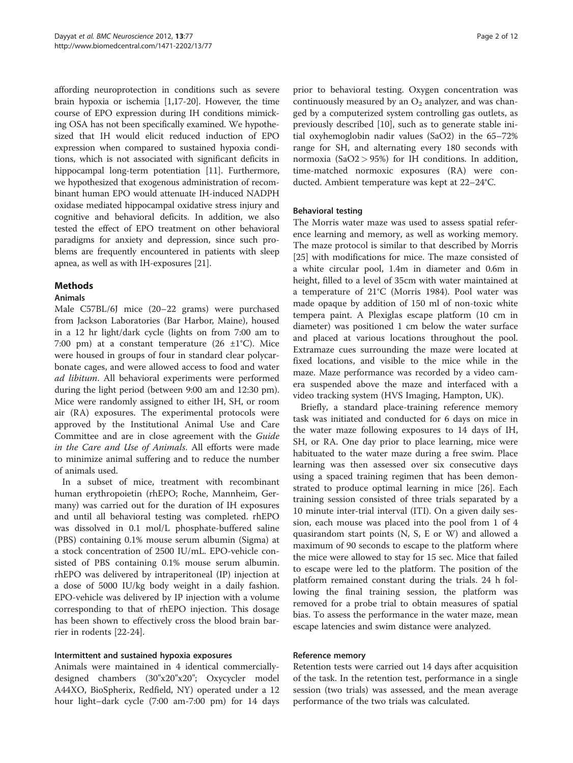affording neuroprotection in conditions such as severe brain hypoxia or ischemia [[1,17](#page-10-0)-[20](#page-10-0)]. However, the time course of EPO expression during IH conditions mimicking OSA has not been specifically examined. We hypothesized that IH would elicit reduced induction of EPO expression when compared to sustained hypoxia conditions, which is not associated with significant deficits in hippocampal long-term potentiation [\[11\]](#page-10-0). Furthermore, we hypothesized that exogenous administration of recombinant human EPO would attenuate IH-induced NADPH oxidase mediated hippocampal oxidative stress injury and cognitive and behavioral deficits. In addition, we also tested the effect of EPO treatment on other behavioral paradigms for anxiety and depression, since such problems are frequently encountered in patients with sleep apnea, as well as with IH-exposures [[21](#page-10-0)].

## **Methods**

## Animals

Male C57BL/6J mice (20–22 grams) were purchased from Jackson Laboratories (Bar Harbor, Maine), housed in a 12 hr light/dark cycle (lights on from 7:00 am to 7:00 pm) at a constant temperature  $(26 \pm 1^{\circ}C)$ . Mice were housed in groups of four in standard clear polycarbonate cages, and were allowed access to food and water ad libitum. All behavioral experiments were performed during the light period (between 9:00 am and 12:30 pm). Mice were randomly assigned to either IH, SH, or room air (RA) exposures. The experimental protocols were approved by the Institutional Animal Use and Care Committee and are in close agreement with the Guide in the Care and Use of Animals. All efforts were made to minimize animal suffering and to reduce the number of animals used.

In a subset of mice, treatment with recombinant human erythropoietin (rhEPO; Roche, Mannheim, Germany) was carried out for the duration of IH exposures and until all behavioral testing was completed. rhEPO was dissolved in 0.1 mol/L phosphate-buffered saline (PBS) containing 0.1% mouse serum albumin (Sigma) at a stock concentration of 2500 IU/mL. EPO-vehicle consisted of PBS containing 0.1% mouse serum albumin. rhEPO was delivered by intraperitoneal (IP) injection at a dose of 5000 IU/kg body weight in a daily fashion. EPO-vehicle was delivered by IP injection with a volume corresponding to that of rhEPO injection. This dosage has been shown to effectively cross the blood brain barrier in rodents [[22-24](#page-10-0)].

## Intermittent and sustained hypoxia exposures

Animals were maintained in 4 identical commerciallydesigned chambers (30"x20"x20"; Oxycycler model A44XO, BioSpherix, Redfield, NY) operated under a 12 hour light–dark cycle (7:00 am-7:00 pm) for 14 days prior to behavioral testing. Oxygen concentration was continuously measured by an  $O_2$  analyzer, and was changed by a computerized system controlling gas outlets, as previously described [\[10](#page-10-0)], such as to generate stable initial oxyhemoglobin nadir values (SaO2) in the 65–72% range for SH, and alternating every 180 seconds with normoxia (SaO2 > 95%) for IH conditions. In addition, time-matched normoxic exposures (RA) were conducted. Ambient temperature was kept at 22–24°C.

## Behavioral testing

The Morris water maze was used to assess spatial reference learning and memory, as well as working memory. The maze protocol is similar to that described by Morris [[25\]](#page-10-0) with modifications for mice. The maze consisted of a white circular pool, 1.4m in diameter and 0.6m in height, filled to a level of 35cm with water maintained at a temperature of 21°C (Morris 1984). Pool water was made opaque by addition of 150 ml of non-toxic white tempera paint. A Plexiglas escape platform (10 cm in diameter) was positioned 1 cm below the water surface and placed at various locations throughout the pool. Extramaze cues surrounding the maze were located at fixed locations, and visible to the mice while in the maze. Maze performance was recorded by a video camera suspended above the maze and interfaced with a video tracking system (HVS Imaging, Hampton, UK).

Briefly, a standard place-training reference memory task was initiated and conducted for 6 days on mice in the water maze following exposures to 14 days of IH, SH, or RA. One day prior to place learning, mice were habituated to the water maze during a free swim. Place learning was then assessed over six consecutive days using a spaced training regimen that has been demonstrated to produce optimal learning in mice [\[26](#page-10-0)]. Each training session consisted of three trials separated by a 10 minute inter-trial interval (ITI). On a given daily session, each mouse was placed into the pool from 1 of 4 quasirandom start points (N, S, E or W) and allowed a maximum of 90 seconds to escape to the platform where the mice were allowed to stay for 15 sec. Mice that failed to escape were led to the platform. The position of the platform remained constant during the trials. 24 h following the final training session, the platform was removed for a probe trial to obtain measures of spatial bias. To assess the performance in the water maze, mean escape latencies and swim distance were analyzed.

#### Reference memory

Retention tests were carried out 14 days after acquisition of the task. In the retention test, performance in a single session (two trials) was assessed, and the mean average performance of the two trials was calculated.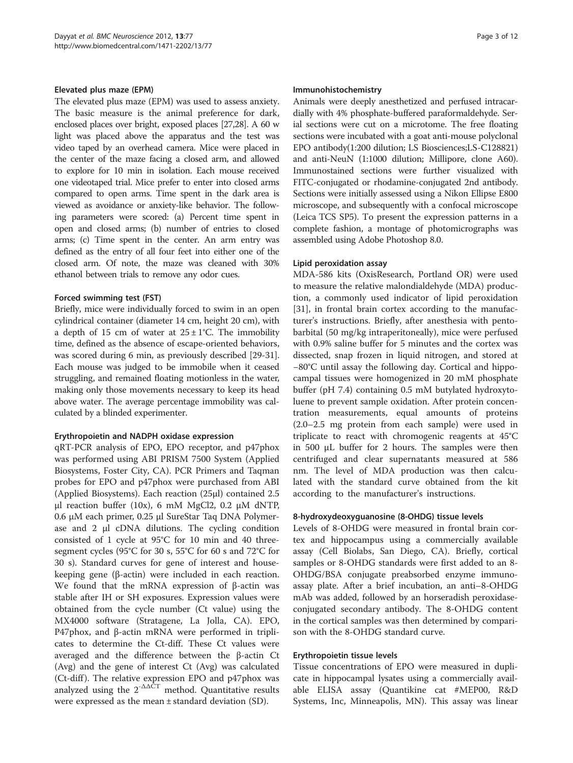#### Elevated plus maze (EPM)

The elevated plus maze (EPM) was used to assess anxiety. The basic measure is the animal preference for dark, enclosed places over bright, exposed places [[27,28](#page-10-0)]. A 60 w light was placed above the apparatus and the test was video taped by an overhead camera. Mice were placed in the center of the maze facing a closed arm, and allowed to explore for 10 min in isolation. Each mouse received one videotaped trial. Mice prefer to enter into closed arms compared to open arms. Time spent in the dark area is viewed as avoidance or anxiety-like behavior. The following parameters were scored: (a) Percent time spent in open and closed arms; (b) number of entries to closed arms; (c) Time spent in the center. An arm entry was defined as the entry of all four feet into either one of the closed arm. Of note, the maze was cleaned with 30% ethanol between trials to remove any odor cues.

#### Forced swimming test (FST)

Briefly, mice were individually forced to swim in an open cylindrical container (diameter 14 cm, height 20 cm), with a depth of 15 cm of water at  $25 \pm 1^{\circ}$ C. The immobility time, defined as the absence of escape-oriented behaviors, was scored during 6 min, as previously described [[29](#page-10-0)-[31](#page-10-0)]. Each mouse was judged to be immobile when it ceased struggling, and remained floating motionless in the water, making only those movements necessary to keep its head above water. The average percentage immobility was calculated by a blinded experimenter.

## Erythropoietin and NADPH oxidase expression

qRT-PCR analysis of EPO, EPO receptor, and p47phox was performed using ABI PRISM 7500 System (Applied Biosystems, Foster City, CA). PCR Primers and Taqman probes for EPO and p47phox were purchased from ABI (Applied Biosystems). Each reaction (25μl) contained 2.5 μl reaction buffer (10x), 6 mM MgCl2, 0.2 μM dNTP, 0.6 μM each primer, 0.25 μl SureStar Taq DNA Polymerase and 2 μl cDNA dilutions. The cycling condition consisted of 1 cycle at 95°C for 10 min and 40 threesegment cycles (95°C for 30 s, 55°C for 60 s and 72°C for 30 s). Standard curves for gene of interest and housekeeping gene (β-actin) were included in each reaction. We found that the mRNA expression of β-actin was stable after IH or SH exposures. Expression values were obtained from the cycle number (Ct value) using the MX4000 software (Stratagene, La Jolla, CA). EPO, P47phox, and β-actin mRNA were performed in triplicates to determine the Ct-diff. These Ct values were averaged and the difference between the β-actin Ct (Avg) and the gene of interest Ct (Avg) was calculated (Ct-diff). The relative expression EPO and p47phox was analyzed using the  $2^{-\Delta\Delta CT}$  method. Quantitative results were expressed as the mean ± standard deviation (SD).

#### Immunohistochemistry

Animals were deeply anesthetized and perfused intracardially with 4% phosphate-buffered paraformaldehyde. Serial sections were cut on a microtome. The free floating sections were incubated with a goat anti-mouse polyclonal EPO antibody(1:200 dilution; LS Biosciences;LS-C128821) and anti-NeuN (1:1000 dilution; Millipore, clone A60). Immunostained sections were further visualized with FITC-conjugated or rhodamine-conjugated 2nd antibody. Sections were initially assessed using a Nikon Ellipse E800 microscope, and subsequently with a confocal microscope (Leica TCS SP5). To present the expression patterns in a complete fashion, a montage of photomicrographs was assembled using Adobe Photoshop 8.0.

#### Lipid peroxidation assay

MDA-586 kits (OxisResearch, Portland OR) were used to measure the relative malondialdehyde (MDA) production, a commonly used indicator of lipid peroxidation [[31\]](#page-10-0), in frontal brain cortex according to the manufacturer's instructions. Briefly, after anesthesia with pentobarbital (50 mg/kg intraperitoneally), mice were perfused with 0.9% saline buffer for 5 minutes and the cortex was dissected, snap frozen in liquid nitrogen, and stored at −80°C until assay the following day. Cortical and hippocampal tissues were homogenized in 20 mM phosphate buffer (pH 7.4) containing 0.5 mM butylated hydroxytoluene to prevent sample oxidation. After protein concentration measurements, equal amounts of proteins (2.0–2.5 mg protein from each sample) were used in triplicate to react with chromogenic reagents at 45°C in 500 μL buffer for 2 hours. The samples were then centrifuged and clear supernatants measured at 586 nm. The level of MDA production was then calculated with the standard curve obtained from the kit according to the manufacturer's instructions.

## 8-hydroxydeoxyguanosine (8-OHDG) tissue levels

Levels of 8-OHDG were measured in frontal brain cortex and hippocampus using a commercially available assay (Cell Biolabs, San Diego, CA). Briefly, cortical samples or 8-OHDG standards were first added to an 8- OHDG/BSA conjugate preabsorbed enzyme immunoassay plate. After a brief incubation, an anti–8-OHDG mAb was added, followed by an horseradish peroxidaseconjugated secondary antibody. The 8-OHDG content in the cortical samples was then determined by comparison with the 8-OHDG standard curve.

## Erythropoietin tissue levels

Tissue concentrations of EPO were measured in duplicate in hippocampal lysates using a commercially available ELISA assay (Quantikine cat #MEP00, R&D Systems, Inc, Minneapolis, MN). This assay was linear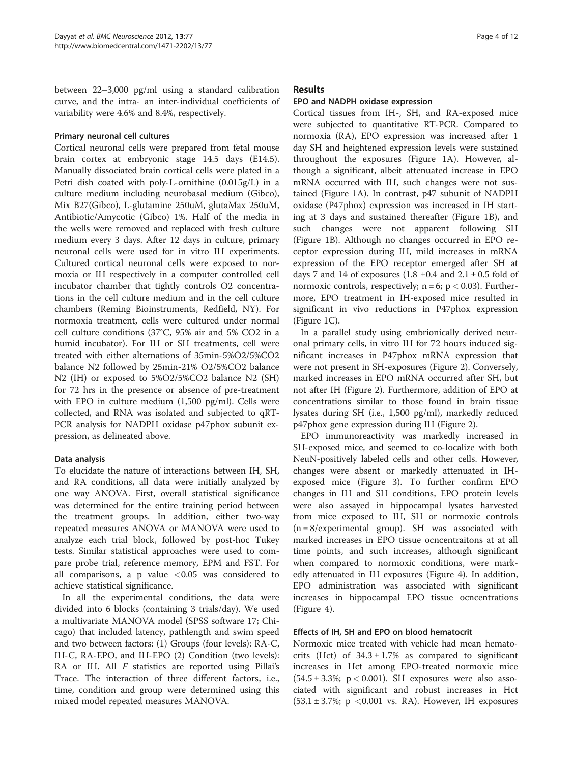between 22–3,000 pg/ml using a standard calibration curve, and the intra- an inter-individual coefficients of variability were 4.6% and 8.4%, respectively.

#### Primary neuronal cell cultures

Cortical neuronal cells were prepared from fetal mouse brain cortex at embryonic stage 14.5 days (E14.5). Manually dissociated brain cortical cells were plated in a Petri dish coated with poly-L-ornithine (0.015g/L) in a culture medium including neurobasal medium (Gibco), Mix B27(Gibco), L-glutamine 250uM, glutaMax 250uM, Antibiotic/Amycotic (Gibco) 1%. Half of the media in the wells were removed and replaced with fresh culture medium every 3 days. After 12 days in culture, primary neuronal cells were used for in vitro IH experiments. Cultured cortical neuronal cells were exposed to normoxia or IH respectively in a computer controlled cell incubator chamber that tightly controls O2 concentrations in the cell culture medium and in the cell culture chambers (Reming Bioinstruments, Redfield, NY). For normoxia treatment, cells were cultured under normal cell culture conditions (37°C, 95% air and 5% CO2 in a humid incubator). For IH or SH treatments, cell were treated with either alternations of 35min-5%O2/5%CO2 balance N2 followed by 25min-21% O2/5%CO2 balance N2 (IH) or exposed to 5%O2/5%CO2 balance N2 (SH) for 72 hrs in the presence or absence of pre-treatment with EPO in culture medium (1,500 pg/ml). Cells were collected, and RNA was isolated and subjected to qRT-PCR analysis for NADPH oxidase p47phox subunit expression, as delineated above.

## Data analysis

To elucidate the nature of interactions between IH, SH, and RA conditions, all data were initially analyzed by one way ANOVA. First, overall statistical significance was determined for the entire training period between the treatment groups. In addition, either two-way repeated measures ANOVA or MANOVA were used to analyze each trial block, followed by post-hoc Tukey tests. Similar statistical approaches were used to compare probe trial, reference memory, EPM and FST. For all comparisons, a p value  $\langle 0.05 \rangle$  was considered to achieve statistical significance.

In all the experimental conditions, the data were divided into 6 blocks (containing 3 trials/day). We used a multivariate MANOVA model (SPSS software 17; Chicago) that included latency, pathlength and swim speed and two between factors: (1) Groups (four levels): RA-C, IH-C, RA-EPO, and IH-EPO (2) Condition (two levels): RA or IH. All  $F$  statistics are reported using Pillai's Trace. The interaction of three different factors, i.e., time, condition and group were determined using this mixed model repeated measures MANOVA.

## Results

#### EPO and NADPH oxidase expression

Cortical tissues from IH-, SH, and RA-exposed mice were subjected to quantitative RT-PCR. Compared to normoxia (RA), EPO expression was increased after 1 day SH and heightened expression levels were sustained throughout the exposures (Figure [1A\)](#page-4-0). However, although a significant, albeit attenuated increase in EPO mRNA occurred with IH, such changes were not sustained (Figure [1A](#page-4-0)). In contrast, p47 subunit of NADPH oxidase (P47phox) expression was increased in IH starting at 3 days and sustained thereafter (Figure [1B\)](#page-4-0), and such changes were not apparent following SH (Figure [1B](#page-4-0)). Although no changes occurred in EPO receptor expression during IH, mild increases in mRNA expression of the EPO receptor emerged after SH at days 7 and 14 of exposures (1.8  $\pm$ 0.4 and 2.1  $\pm$  0.5 fold of normoxic controls, respectively;  $n = 6$ ;  $p < 0.03$ ). Furthermore, EPO treatment in IH-exposed mice resulted in significant in vivo reductions in P47phox expression (Figure [1C](#page-4-0)).

In a parallel study using embrionically derived neuronal primary cells, in vitro IH for 72 hours induced significant increases in P47phox mRNA expression that were not present in SH-exposures (Figure [2](#page-4-0)). Conversely, marked increases in EPO mRNA occurred after SH, but not after IH (Figure [2\)](#page-4-0). Furthermore, addition of EPO at concentrations similar to those found in brain tissue lysates during SH (i.e., 1,500 pg/ml), markedly reduced p47phox gene expression during IH (Figure [2\)](#page-4-0).

EPO immunoreactivity was markedly increased in SH-exposed mice, and seemed to co-localize with both NeuN-positively labeled cells and other cells. However, changes were absent or markedly attenuated in IHexposed mice (Figure [3\)](#page-5-0). To further confirm EPO changes in IH and SH conditions, EPO protein levels were also assayed in hippocampal lysates harvested from mice exposed to IH, SH or normoxic controls  $(n = 8/ex$  perimental group). SH was associated with marked increases in EPO tissue ocncentraitons at at all time points, and such increases, although significant when compared to normoxic conditions, were markedly attenuated in IH exposures (Figure [4\)](#page-5-0). In addition, EPO administration was associated with significant increases in hippocampal EPO tissue ocncentrations (Figure [4](#page-5-0)).

## Effects of IH, SH and EPO on blood hematocrit

Normoxic mice treated with vehicle had mean hematocrits (Hct) of  $34.3 \pm 1.7\%$  as compared to significant increases in Hct among EPO-treated normoxic mice  $(54.5 \pm 3.3\%)$ ; p < 0.001). SH exposures were also associated with significant and robust increases in Hct (53.1 ± 3.7%; p < 0.001 vs. RA). However, IH exposures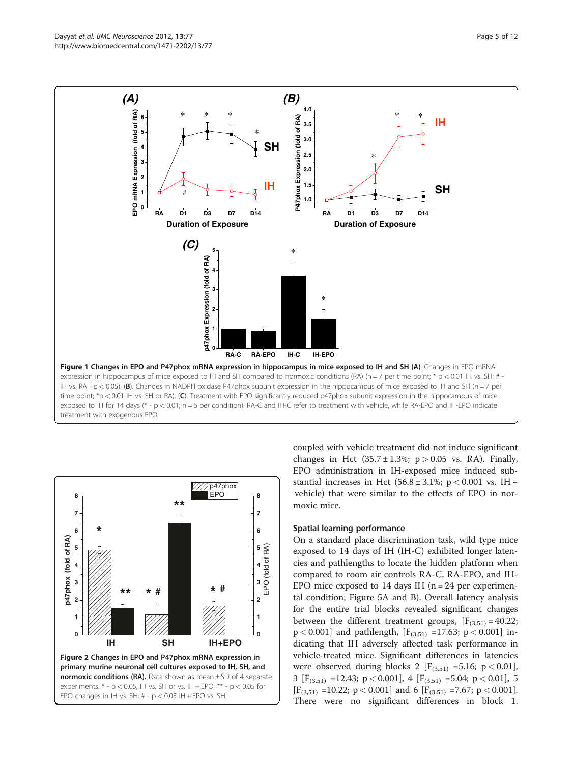<span id="page-4-0"></span>Dayyat et al. BMC Neuroscience 2012, 13:77 **Page 5 of 12** http://www.biomedcentral.com/1471-2202/13/77





coupled with vehicle treatment did not induce significant changes in Hct  $(35.7 \pm 1.3\%)$ ; p  $> 0.05$  vs. RA). Finally, EPO administration in IH-exposed mice induced substantial increases in Hct (56.8  $\pm$  3.1%; p < 0.001 vs. IH + vehicle) that were similar to the effects of EPO in normoxic mice.

## Spatial learning performance

On a standard place discrimination task, wild type mice exposed to 14 days of IH (IH-C) exhibited longer latencies and pathlengths to locate the hidden platform when compared to room air controls RA-C, RA-EPO, and IH-EPO mice exposed to 14 days IH  $(n = 24$  per experimental condition; Figure [5A and B\)](#page-6-0). Overall latency analysis for the entire trial blocks revealed significant changes between the different treatment groups,  $[F_{(3,51)} = 40.22;$  $p < 0.001$ ] and pathlength,  $[F_{(3,51)} = 17.63; p < 0.001]$  indicating that IH adversely affected task performance in vehicle-treated mice. Significant differences in latencies were observed during blocks 2  $[F_{(3,51)} = 5.16; p < 0.01]$ , 3  $[F_{(3,51)} = 12.43; p < 0.001]$ , 4  $[F_{(3,51)} = 5.04; p < 0.01]$ , 5  $[F_{(3,51)} = 10.22; p < 0.001]$  and 6  $[F_{(3,51)} = 7.67; p < 0.001]$ . There were no significant differences in block 1.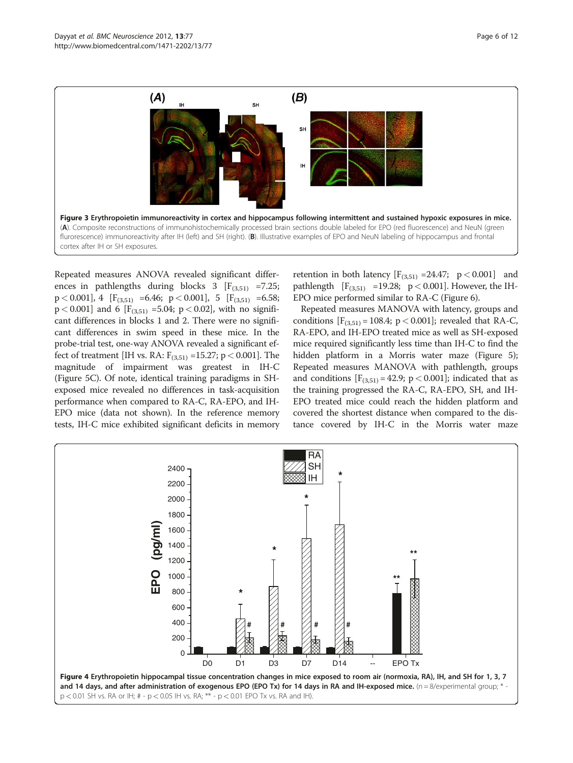<span id="page-5-0"></span>

Repeated measures ANOVA revealed significant differences in pathlengths during blocks 3  $[F<sub>(3,51)</sub> = 7.25;$  $p < 0.001$ ], 4 [F<sub>(3,51)</sub> =6.46;  $p < 0.001$ ], 5 [F<sub>(3,51)</sub> =6.58;  $p < 0.001$ ] and 6 [F<sub>(3,51)</sub> = 5.04;  $p < 0.02$ ], with no significant differences in blocks 1 and 2. There were no significant differences in swim speed in these mice. In the probe-trial test, one-way ANOVA revealed a significant effect of treatment [IH vs. RA:  $F_{(3,51)} = 15.27$ ; p < 0.001]. The magnitude of impairment was greatest in IH-C (Figure [5C](#page-6-0)). Of note, identical training paradigms in SHexposed mice revealed no differences in task-acquisition performance when compared to RA-C, RA-EPO, and IH-EPO mice (data not shown). In the reference memory tests, IH-C mice exhibited significant deficits in memory retention in both latency  $[F_{(3,51)} = 24.47; p < 0.001]$  and pathlength  $[F_{(3,51)} = 19.28; p < 0.001]$ . However, the IH-EPO mice performed similar to RA-C (Figure [6](#page-7-0)).

Repeated measures MANOVA with latency, groups and conditions  $[F_{(3,51)} = 108.4; p < 0.001]$ ; revealed that RA-C, RA-EPO, and IH-EPO treated mice as well as SH-exposed mice required significantly less time than IH-C to find the hidden platform in a Morris water maze (Figure [5](#page-6-0)); Repeated measures MANOVA with pathlength, groups and conditions  $[F_{(3,51)} = 42.9; p < 0.001]$ ; indicated that as the training progressed the RA-C, RA-EPO, SH, and IH-EPO treated mice could reach the hidden platform and covered the shortest distance when compared to the distance covered by IH-C in the Morris water maze

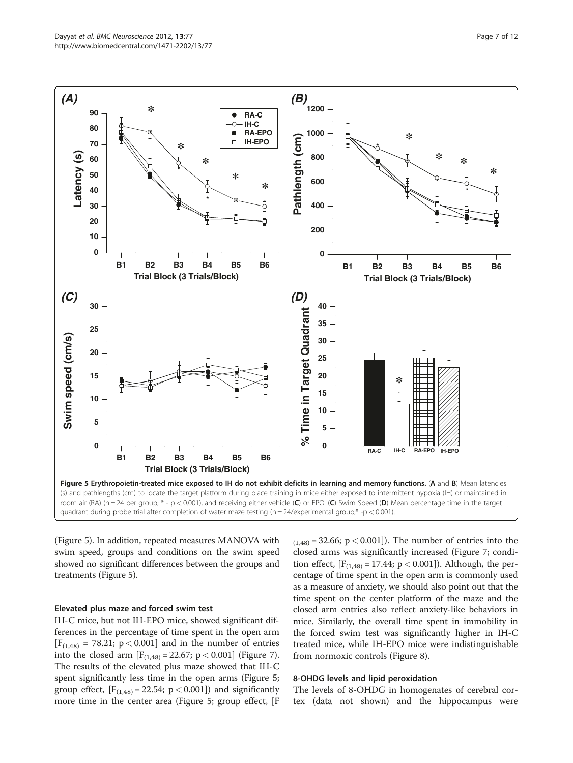(Figure 5). In addition, repeated measures MANOVA with swim speed, groups and conditions on the swim speed showed no significant differences between the groups and treatments (Figure 5).

#### Elevated plus maze and forced swim test

IH-C mice, but not IH-EPO mice, showed significant differences in the percentage of time spent in the open arm  $[F_{(1,48)} = 78.21; p < 0.001]$  and in the number of entries into the closed arm  $[F_{(1,48)} = 22.67; p < 0.001]$  (Figure [7](#page-7-0)). The results of the elevated plus maze showed that IH-C spent significantly less time in the open arms (Figure 5; group effect,  $[F_{(1,48)} = 22.54; p < 0.001]$  and significantly more time in the center area (Figure 5; group effect, [F

 $(1,48) = 32.66$ ; p < 0.001]). The number of entries into the closed arms was significantly increased (Figure [7;](#page-7-0) condition effect,  $[F_{(1,48)} = 17.44; p < 0.001]$ ). Although, the percentage of time spent in the open arm is commonly used as a measure of anxiety, we should also point out that the time spent on the center platform of the maze and the closed arm entries also reflect anxiety-like behaviors in mice. Similarly, the overall time spent in immobility in the forced swim test was significantly higher in IH-C treated mice, while IH-EPO mice were indistinguishable from normoxic controls (Figure [8\)](#page-8-0).

#### 8-OHDG levels and lipid peroxidation

The levels of 8-OHDG in homogenates of cerebral cortex (data not shown) and the hippocampus were

<span id="page-6-0"></span>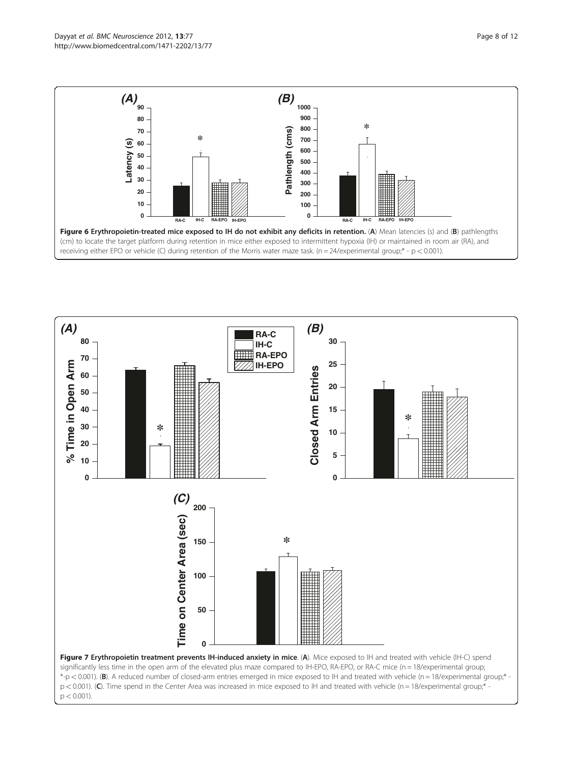

<span id="page-7-0"></span>



 $p < 0.001$ ).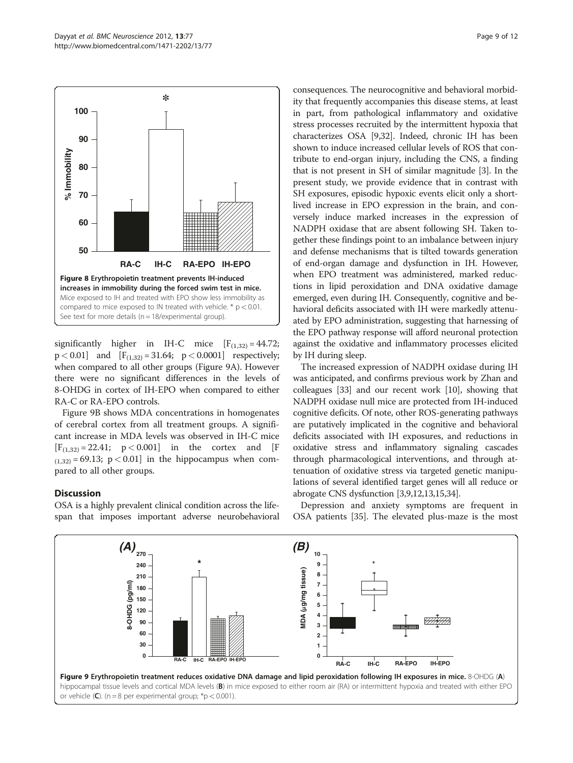significantly higher in IH-C mice  $[F_{(1,32)} = 44.72;$  $p < 0.01$ ] and  $[F_{(1,32)} = 31.64; p < 0.0001]$  respectively; when compared to all other groups (Figure 9A). However there were no significant differences in the levels of 8-OHDG in cortex of IH-EPO when compared to either RA-C or RA-EPO controls.

Figure 9B shows MDA concentrations in homogenates of cerebral cortex from all treatment groups. A significant increase in MDA levels was observed in IH-C mice  $[F_{(1,32)} = 22.41; p < 0.001]$  in the cortex and [F  $(1,32) = 69.13$ ;  $p < 0.01$ ] in the hippocampus when compared to all other groups.

#### **Discussion**

OSA is a highly prevalent clinical condition across the lifespan that imposes important adverse neurobehavioral

consequences. The neurocognitive and behavioral morbidity that frequently accompanies this disease stems, at least in part, from pathological inflammatory and oxidative stress processes recruited by the intermittent hypoxia that characterizes OSA [\[9,32](#page-10-0)]. Indeed, chronic IH has been shown to induce increased cellular levels of ROS that contribute to end-organ injury, including the CNS, a finding that is not present in SH of similar magnitude [[3](#page-10-0)]. In the present study, we provide evidence that in contrast with SH exposures, episodic hypoxic events elicit only a shortlived increase in EPO expression in the brain, and conversely induce marked increases in the expression of NADPH oxidase that are absent following SH. Taken together these findings point to an imbalance between injury and defense mechanisms that is tilted towards generation of end-organ damage and dysfunction in IH. However, when EPO treatment was administered, marked reductions in lipid peroxidation and DNA oxidative damage emerged, even during IH. Consequently, cognitive and behavioral deficits associated with IH were markedly attenuated by EPO administration, suggesting that harnessing of the EPO pathway response will afford neuronal protection against the oxidative and inflammatory processes elicited by IH during sleep.

The increased expression of NADPH oxidase during IH was anticipated, and confirms previous work by Zhan and colleagues [\[33\]](#page-10-0) and our recent work [[10](#page-10-0)], showing that NADPH oxidase null mice are protected from IH-induced cognitive deficits. Of note, other ROS-generating pathways are putatively implicated in the cognitive and behavioral deficits associated with IH exposures, and reductions in oxidative stress and inflammatory signaling cascades through pharmacological interventions, and through attenuation of oxidative stress via targeted genetic manipulations of several identified target genes will all reduce or abrogate CNS dysfunction [\[3,9,12,13](#page-10-0),[15,34\]](#page-10-0).

Depression and anxiety symptoms are frequent in OSA patients [\[35\]](#page-10-0). The elevated plus-maze is the most



<span id="page-8-0"></span>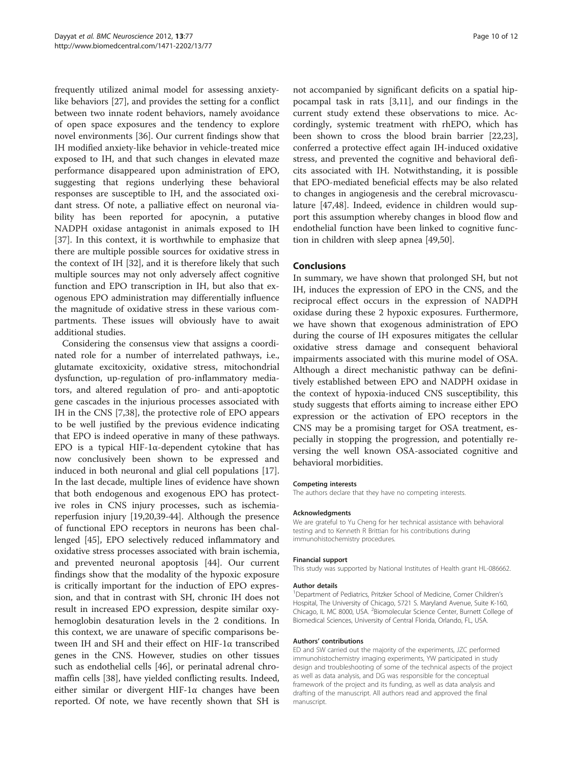frequently utilized animal model for assessing anxietylike behaviors [[27\]](#page-10-0), and provides the setting for a conflict between two innate rodent behaviors, namely avoidance of open space exposures and the tendency to explore novel environments [[36\]](#page-10-0). Our current findings show that IH modified anxiety-like behavior in vehicle-treated mice exposed to IH, and that such changes in elevated maze performance disappeared upon administration of EPO, suggesting that regions underlying these behavioral responses are susceptible to IH, and the associated oxidant stress. Of note, a palliative effect on neuronal viability has been reported for apocynin, a putative NADPH oxidase antagonist in animals exposed to IH [[37\]](#page-10-0). In this context, it is worthwhile to emphasize that there are multiple possible sources for oxidative stress in the context of IH [\[32\]](#page-10-0), and it is therefore likely that such multiple sources may not only adversely affect cognitive function and EPO transcription in IH, but also that exogenous EPO administration may differentially influence the magnitude of oxidative stress in these various compartments. These issues will obviously have to await additional studies.

Considering the consensus view that assigns a coordinated role for a number of interrelated pathways, i.e., glutamate excitoxicity, oxidative stress, mitochondrial dysfunction, up-regulation of pro-inflammatory mediators, and altered regulation of pro- and anti-apoptotic gene cascades in the injurious processes associated with IH in the CNS [[7,38\]](#page-10-0), the protective role of EPO appears to be well justified by the previous evidence indicating that EPO is indeed operative in many of these pathways. EPO is a typical HIF-1α-dependent cytokine that has now conclusively been shown to be expressed and induced in both neuronal and glial cell populations [\[17](#page-10-0)]. In the last decade, multiple lines of evidence have shown that both endogenous and exogenous EPO has protective roles in CNS injury processes, such as ischemiareperfusion injury [[19,20,39](#page-10-0)-[44\]](#page-11-0). Although the presence of functional EPO receptors in neurons has been challenged [[45\]](#page-11-0), EPO selectively reduced inflammatory and oxidative stress processes associated with brain ischemia, and prevented neuronal apoptosis [[44\]](#page-11-0). Our current findings show that the modality of the hypoxic exposure is critically important for the induction of EPO expression, and that in contrast with SH, chronic IH does not result in increased EPO expression, despite similar oxyhemoglobin desaturation levels in the 2 conditions. In this context, we are unaware of specific comparisons between IH and SH and their effect on HIF-1α transcribed genes in the CNS. However, studies on other tissues such as endothelial cells [\[46](#page-11-0)], or perinatal adrenal chromaffin cells [\[38\]](#page-10-0), have yielded conflicting results. Indeed, either similar or divergent HIF-1α changes have been reported. Of note, we have recently shown that SH is

not accompanied by significant deficits on a spatial hippocampal task in rats [[3,11\]](#page-10-0), and our findings in the current study extend these observations to mice. Accordingly, systemic treatment with rhEPO, which has been shown to cross the blood brain barrier [\[22,23](#page-10-0)], conferred a protective effect again IH-induced oxidative stress, and prevented the cognitive and behavioral deficits associated with IH. Notwithstanding, it is possible that EPO-mediated beneficial effects may be also related to changes in angiogenesis and the cerebral microvasculature [[47,48\]](#page-11-0). Indeed, evidence in children would support this assumption whereby changes in blood flow and endothelial function have been linked to cognitive function in children with sleep apnea [\[49,50](#page-11-0)].

#### Conclusions

In summary, we have shown that prolonged SH, but not IH, induces the expression of EPO in the CNS, and the reciprocal effect occurs in the expression of NADPH oxidase during these 2 hypoxic exposures. Furthermore, we have shown that exogenous administration of EPO during the course of IH exposures mitigates the cellular oxidative stress damage and consequent behavioral impairments associated with this murine model of OSA. Although a direct mechanistic pathway can be definitively established between EPO and NADPH oxidase in the context of hypoxia-induced CNS susceptibility, this study suggests that efforts aiming to increase either EPO expression or the activation of EPO receptors in the CNS may be a promising target for OSA treatment, especially in stopping the progression, and potentially reversing the well known OSA-associated cognitive and behavioral morbidities.

#### Competing interests

The authors declare that they have no competing interests.

#### Acknowledgments

We are grateful to Yu Cheng for her technical assistance with behavioral testing and to Kenneth R Brittian for his contributions during immunohistochemistry procedures.

#### Financial support

This study was supported by National Institutes of Health grant HL-086662.

#### Author details

<sup>1</sup>Department of Pediatrics, Pritzker School of Medicine, Comer Children's Hospital, The University of Chicago, 5721 S. Maryland Avenue, Suite K-160, Chicago, IL MC 8000, USA. <sup>2</sup> Biomolecular Science Center, Burnett College of Biomedical Sciences, University of Central Florida, Orlando, FL, USA.

#### Authors' contributions

ED and SW carried out the majority of the experiments, JZC performed immunohistochemistry imaging experiments, YW participated in study design and troubleshooting of some of the technical aspects of the project as well as data analysis, and DG was responsible for the conceptual framework of the project and its funding, as well as data analysis and drafting of the manuscript. All authors read and approved the final manuscript.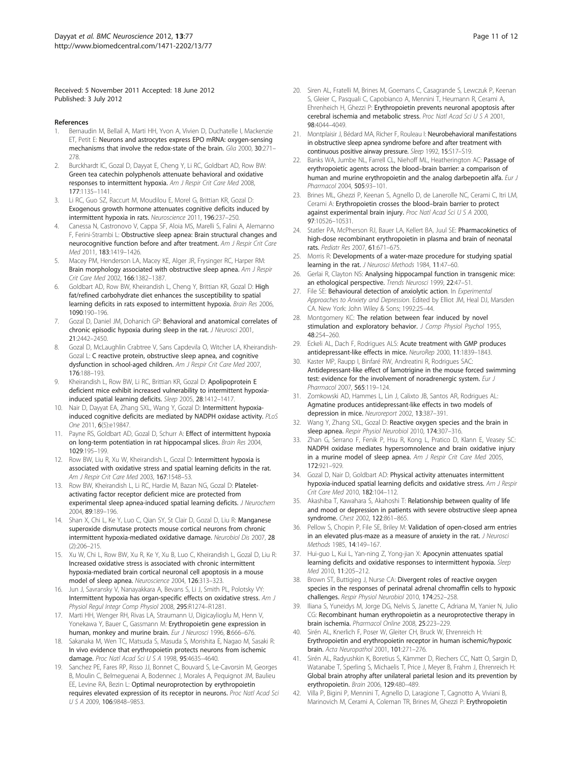<span id="page-10-0"></span>Received: 5 November 2011 Accepted: 18 June 2012 Published: 3 July 2012

#### References

- Bernaudin M, Bellail A, Marti HH, Yvon A, Vivien D, Duchatelle I, Mackenzie ET, Petit E: Neurons and astrocytes express EPO mRNA: oxygen-sensing mechanisms that involve the redox-state of the brain. Glia 2000, 30:271– 278.
- 2. Burckhardt IC, Gozal D, Dayyat E, Cheng Y, Li RC, Goldbart AD, Row BW: Green tea catechin polyphenols attenuate behavioral and oxidative responses to intermittent hypoxia. Am J Respir Crit Care Med 2008, 177:1135–1141.
- 3. Li RC, Guo SZ, Raccurt M, Moudilou E, Morel G, Brittian KR, Gozal D: Exogenous growth hormone attenuates cognitive deficits induced by intermittent hypoxia in rats. Neuroscience 2011, 196:237–250.
- 4. Canessa N, Castronovo V, Cappa SF, Aloia MS, Marelli S, Falini A, Alemanno F, Ferini-Strambi L: Obstructive sleep apnea: Brain structural changes and neurocognitive function before and after treatment. Am J Respir Crit Care Med 2011, 183:1419–1426.
- Macey PM, Henderson LA, Macey KE, Alger JR, Frysinger RC, Harper RM: Brain morphology associated with obstructive sleep apnea. Am J Respir Crit Care Med 2002, 166:1382–1387.
- 6. Goldbart AD, Row BW, Kheirandish L, Cheng Y, Brittian KR, Gozal D: High fat/refined carbohydrate diet enhances the susceptibility to spatial learning deficits in rats exposed to intermittent hypoxia. Brain Res 2006, 1090:190–196.
- 7. Gozal D, Daniel JM, Dohanich GP: Behavioral and anatomical correlates of chronic episodic hypoxia during sleep in the rat. J Neurosci 2001, 21:2442–2450.
- 8. Gozal D, McLaughlin Crabtree V, Sans Capdevila O, Witcher LA, Kheirandish-Gozal L: C reactive protein, obstructive sleep apnea, and cognitive dysfunction in school-aged children. Am J Respir Crit Care Med 2007, 176:188–193.
- Kheirandish L, Row BW, Li RC, Brittian KR, Gozal D: Apolipoprotein E deficient mice exhibit increased vulnerability to intermittent hypoxiainduced spatial learning deficits. Sleep 2005, 28:1412–1417.
- 10. Nair D, Dayyat EA, Zhang SXL, Wang Y, Gozal D: Intermittent hypoxiainduced cognitive deficits are mediated by NADPH oxidase activity. PLoS One 2011, 6(5):e19847.
- 11. Payne RS, Goldbart AD, Gozal D, Schurr A: Effect of intermittent hypoxia on long-term potentiation in rat hippocampal slices. Brain Res 2004, 1029:195–199.
- 12. Row BW, Liu R, Xu W, Kheirandish L, Gozal D: Intermittent hypoxia is associated with oxidative stress and spatial learning deficits in the rat. Am J Respir Crit Care Med 2003, 167:1548-53.
- 13. Row BW, Kheirandish L, Li RC, Hardie M, Bazan NG, Gozal D: Plateletactivating factor receptor deficient mice are protected from experimental sleep apnea-induced spatial learning deficits. J Neurochem 2004, 89:189–196.
- 14. Shan X, Chi L, Ke Y, Luo C, Qian SY, St Clair D, Gozal D, Liu R: Manganese superoxide dismutase protects mouse cortical neurons from chronic intermittent hypoxia-mediated oxidative damage. Neurobiol Dis 2007, 28 (2):206–215.
- 15. Xu W, Chi L, Row BW, Xu R, Ke Y, Xu B, Luo C, Kheirandish L, Gozal D, Liu R: Increased oxidative stress is associated with chronic intermittent hypoxia-mediated brain cortical neuronal cell apoptosis in a mouse model of sleep apnea. Neuroscience 2004, 126:313–323.
- 16. Jun J, Savransky V, Nanayakkara A, Bevans S, Li J, Smith PL, Polotsky VY: Intermittent hypoxia has organ-specific effects on oxidative stress. Am  $J$ Physiol Regul Integr Comp Physiol 2008, 295:R1274–R1281.
- 17. Marti HH, Wenger RH, Rivas LA, Straumann U, Digicaylioglu M, Henn V, Yonekawa Y, Bauer C, Gassmann M: Erythropoietin gene expression in human, monkey and murine brain. Eur J Neurosci 1996, 8:666-676.
- 18. Sakanaka M, Wen TC, Matsuda S, Masuda S, Morishita E, Nagao M, Sasaki R: In vivo evidence that erythropoietin protects neurons from ischemic damage. Proc Natl Acad Sci U S A 1998, 95:4635–4640.
- 19. Sanchez PE, Fares RP, Risso JJ, Bonnet C, Bouvard S, Le-Cavorsin M, Georges B, Moulin C, Belmeguenai A, Bodennec J, Morales A, Pequignot JM, Baulieu EE, Levine RA, Bezin L: Optimal neuroprotection by erythropoietin requires elevated expression of its receptor in neurons. Proc Natl Acad Sci USA 2009, 106:9848–9853.
- 20. Siren AL, Fratelli M, Brines M, Goemans C, Casagrande S, Lewczuk P, Keenan S, Gleier C, Pasquali C, Capobianco A, Mennini T, Heumann R, Cerami A, Ehrenheich H, Ghezzi P: Erythropoietin prevents neuronal apoptosis after cerebral ischemia and metabolic stress. Proc Natl Acad Sci U S A 2001, 98:4044–4049.
- 21. Montplaisir J, Bédard MA, Richer F, Rouleau I: Neurobehavioral manifestations in obstructive sleep apnea syndrome before and after treatment with continuous positive airway pressure. Sleep 1992, 15:S17–S19.
- 22. Banks WA, Jumbe NL, Farrell CL, Niehoff ML, Heatherington AC: Passage of erythropoietic agents across the blood–brain barrier: a comparison of human and murine erythropoietin and the analog darbepoetin alfa. Eur J Pharmacol 2004, 505:93–101.
- 23. Brines ML, Ghezzi P, Keenan S, Agnello D, de Lanerolle NC, Cerami C, Itri LM, Cerami A: Erythropoietin crosses the blood–brain barrier to protect against experimental brain injury. Proc Natl Acad Sci U S A 2000, 97:10526–10531.
- 24. Statler PA, McPherson RJ, Bauer LA, Kellert BA, Juul SE: Pharmacokinetics of high-dose recombinant erythropoietin in plasma and brain of neonatal rats. Pediatr Res 2007, 61:671–675.
- 25. Morris R: Developments of a water-maze procedure for studying spatial learning in the rat. J Neurosci Methods 1984, 11:47–60.
- 26. Gerlai R, Clayton NS: Analysing hippocampal function in transgenic mice: an ethological perspective. Trends Neurosci 1999, 22:47–51.
- 27. File SE: Behavioural detection of anxiolytic action. In Experimental Approaches to Anxiety and Depression. Edited by Elliot JM, Heal DJ, Marsden CA. New York: John Wiley & Sons; 1992:25–44.
- 28. Montgomery KC: The relation between fear induced by novel stimulation and exploratory behavior. J Comp Physiol Psychol 1955, 48:254–260.
- 29. Eckeli AL, Dach F, Rodrigues ALS: Acute treatment with GMP produces antidepressant-like effects in mice. NeuroRep 2000, 11:1839–1843.
- 30. Kaster MP, Raupp I, Binfaré RW, Andreatini R, Rodrigues SAC: Antidepressant-like effect of lamotrigine in the mouse forced swimming test: evidence for the involvement of noradrenergic system. Eur J Pharmacol 2007, 565:119–124.
- 31. Zomkowski AD, Hammes L, Lin J, Calixto JB, Santos AR, Rodrigues AL: Agmatine produces antidepressant-like effects in two models of depression in mice. Neuroreport 2002, 13:387–391.
- 32. Wang Y, Zhang SXL, Gozal D: Reactive oxygen species and the brain in sleep apnea. Respir Physiol Neurobiol 2010, 174:307–316.
- 33. Zhan G, Serrano F, Fenik P, Hsu R, Kong L, Pratico D, Klann E, Veasey SC: NADPH oxidase mediates hypersomnolence and brain oxidative injury in a murine model of sleep apnea. Am J Respir Crit Care Med 2005, 172:921–929.
- 34. Gozal D, Nair D, Goldbart AD: Physical activity attenuates intermittent hypoxia-induced spatial learning deficits and oxidative stress. Am J Respir Crit Care Med 2010, 182:104–112.
- 35. Akashiba T, Kawahara S, Akahoshi T: Relationship between quality of life and mood or depression in patients with severe obstructive sleep apnea syndrome. Chest 2002, 122:861-865.
- 36. Pellow S, Chopin P, File SE, Briley M: Validation of open-closed arm entries in an elevated plus-maze as a measure of anxiety in the rat. J Neurosci Methods 1985, 14:149–167.
- 37. Hui-guo L, Kui L, Yan-ning Z, Yong-jian X: Apocynin attenuates spatial learning deficits and oxidative responses to intermittent hypoxia. Sleep Med 2010, 11:205–212.
- Brown ST, Buttigieg J, Nurse CA: Divergent roles of reactive oxygen species in the responses of perinatal adrenal chromaffin cells to hypoxic challenges. Respir Physiol Neurobiol 2010, 174:252–258.
- 39. Iliana S, Yuneidys M, Jorge DG, Nelvis S, Janette C, Adriana M, Yanier N, Julio CG: Recombinant human erythropoietin as a neuroprotective therapy in brain ischemia. Pharmacol Online 2008, 25:223–229.
- 40. Sirén AL, Knerlich F, Poser W, Gleiter CH, Bruck W, Ehrenreich H: Erythropoietin and erythropoietin receptor in human ischemic/hypoxic brain. Acta Neuropathol 2001, 101:271–276.
- 41. Sirén AL, Radyushkin K, Boretius S, Kämmer D, Riechers CC, Natt O, Sargin D, Watanabe T, Sperling S, Michaelis T, Price J, Meyer B, Frahm J, Ehrenreich H: Global brain atrophy after unilateral parietal lesion and its prevention by erythropoietin. Brain 2006, 129:480–489.
- 42. Villa P, Bigini P, Mennini T, Agnello D, Laragione T, Cagnotto A, Viviani B, Marinovich M, Cerami A, Coleman TR, Brines M, Ghezzi P: Erythropoietin